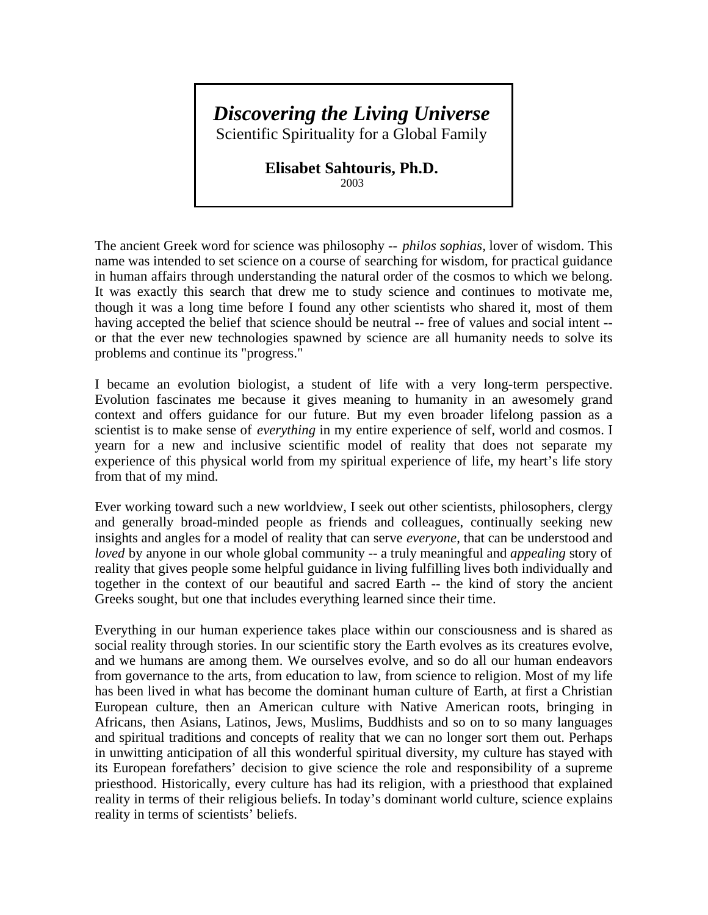## *Discovering the Living Universe*

Scientific Spirituality for a Global Family

## **Elisabet Sahtouris, Ph.D.**

2003

The ancient Greek word for science was philosophy -- *philos sophias,* lover of wisdom. This name was intended to set science on a course of searching for wisdom, for practical guidance in human affairs through understanding the natural order of the cosmos to which we belong. It was exactly this search that drew me to study science and continues to motivate me, though it was a long time before I found any other scientists who shared it, most of them having accepted the belief that science should be neutral -- free of values and social intent - or that the ever new technologies spawned by science are all humanity needs to solve its problems and continue its "progress."

I became an evolution biologist, a student of life with a very long-term perspective. Evolution fascinates me because it gives meaning to humanity in an awesomely grand context and offers guidance for our future. But my even broader lifelong passion as a scientist is to make sense of *everything* in my entire experience of self, world and cosmos. I yearn for a new and inclusive scientific model of reality that does not separate my experience of this physical world from my spiritual experience of life, my heart's life story from that of my mind.

Ever working toward such a new worldview, I seek out other scientists, philosophers, clergy and generally broad-minded people as friends and colleagues, continually seeking new insights and angles for a model of reality that can serve *everyone*, that can be understood and *loved* by anyone in our whole global community -- a truly meaningful and *appealing* story of reality that gives people some helpful guidance in living fulfilling lives both individually and together in the context of our beautiful and sacred Earth -- the kind of story the ancient Greeks sought, but one that includes everything learned since their time.

Everything in our human experience takes place within our consciousness and is shared as social reality through stories. In our scientific story the Earth evolves as its creatures evolve, and we humans are among them. We ourselves evolve, and so do all our human endeavors from governance to the arts, from education to law, from science to religion. Most of my life has been lived in what has become the dominant human culture of Earth, at first a Christian European culture, then an American culture with Native American roots, bringing in Africans, then Asians, Latinos, Jews, Muslims, Buddhists and so on to so many languages and spiritual traditions and concepts of reality that we can no longer sort them out. Perhaps in unwitting anticipation of all this wonderful spiritual diversity, my culture has stayed with its European forefathers' decision to give science the role and responsibility of a supreme priesthood. Historically, every culture has had its religion, with a priesthood that explained reality in terms of their religious beliefs. In today's dominant world culture, science explains reality in terms of scientists' beliefs.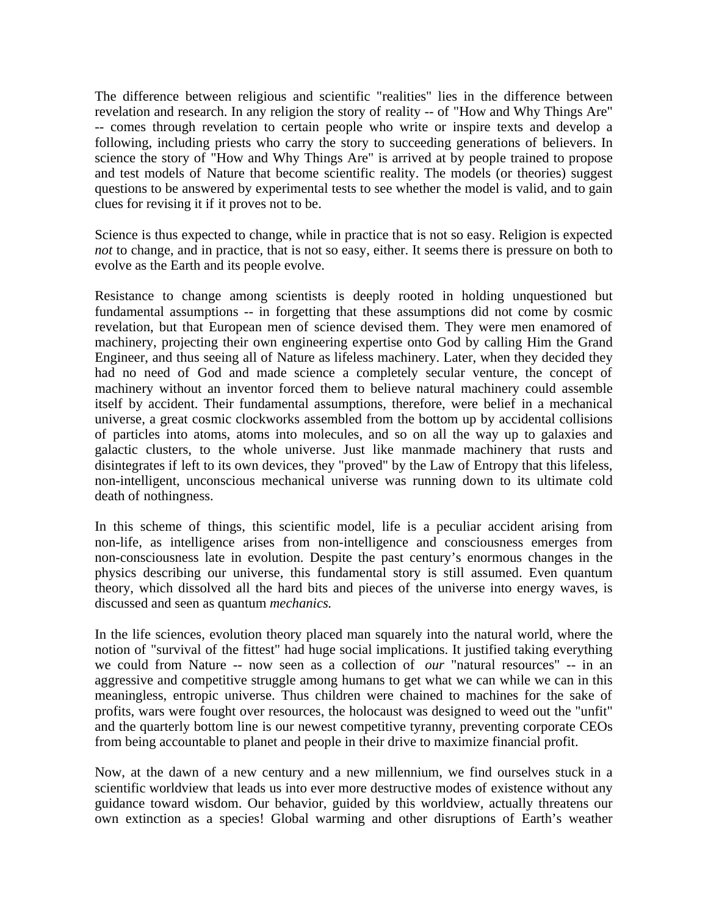The difference between religious and scientific "realities" lies in the difference between revelation and research. In any religion the story of reality -- of "How and Why Things Are" -- comes through revelation to certain people who write or inspire texts and develop a following, including priests who carry the story to succeeding generations of believers. In science the story of "How and Why Things Are" is arrived at by people trained to propose and test models of Nature that become scientific reality. The models (or theories) suggest questions to be answered by experimental tests to see whether the model is valid, and to gain clues for revising it if it proves not to be.

Science is thus expected to change, while in practice that is not so easy. Religion is expected *not* to change, and in practice, that is not so easy, either. It seems there is pressure on both to evolve as the Earth and its people evolve.

Resistance to change among scientists is deeply rooted in holding unquestioned but fundamental assumptions -- in forgetting that these assumptions did not come by cosmic revelation, but that European men of science devised them. They were men enamored of machinery, projecting their own engineering expertise onto God by calling Him the Grand Engineer, and thus seeing all of Nature as lifeless machinery. Later, when they decided they had no need of God and made science a completely secular venture, the concept of machinery without an inventor forced them to believe natural machinery could assemble itself by accident. Their fundamental assumptions, therefore, were belief in a mechanical universe, a great cosmic clockworks assembled from the bottom up by accidental collisions of particles into atoms, atoms into molecules, and so on all the way up to galaxies and galactic clusters, to the whole universe. Just like manmade machinery that rusts and disintegrates if left to its own devices, they "proved" by the Law of Entropy that this lifeless, non-intelligent, unconscious mechanical universe was running down to its ultimate cold death of nothingness.

In this scheme of things, this scientific model, life is a peculiar accident arising from non-life, as intelligence arises from non-intelligence and consciousness emerges from non-consciousness late in evolution. Despite the past century's enormous changes in the physics describing our universe, this fundamental story is still assumed. Even quantum theory, which dissolved all the hard bits and pieces of the universe into energy waves, is discussed and seen as quantum *mechanics.*

In the life sciences, evolution theory placed man squarely into the natural world, where the notion of "survival of the fittest" had huge social implications. It justified taking everything we could from Nature -- now seen as a collection of *our* "natural resources" -- in an aggressive and competitive struggle among humans to get what we can while we can in this meaningless, entropic universe. Thus children were chained to machines for the sake of profits, wars were fought over resources, the holocaust was designed to weed out the "unfit" and the quarterly bottom line is our newest competitive tyranny, preventing corporate CEOs from being accountable to planet and people in their drive to maximize financial profit.

Now, at the dawn of a new century and a new millennium, we find ourselves stuck in a scientific worldview that leads us into ever more destructive modes of existence without any guidance toward wisdom. Our behavior, guided by this worldview, actually threatens our own extinction as a species! Global warming and other disruptions of Earth's weather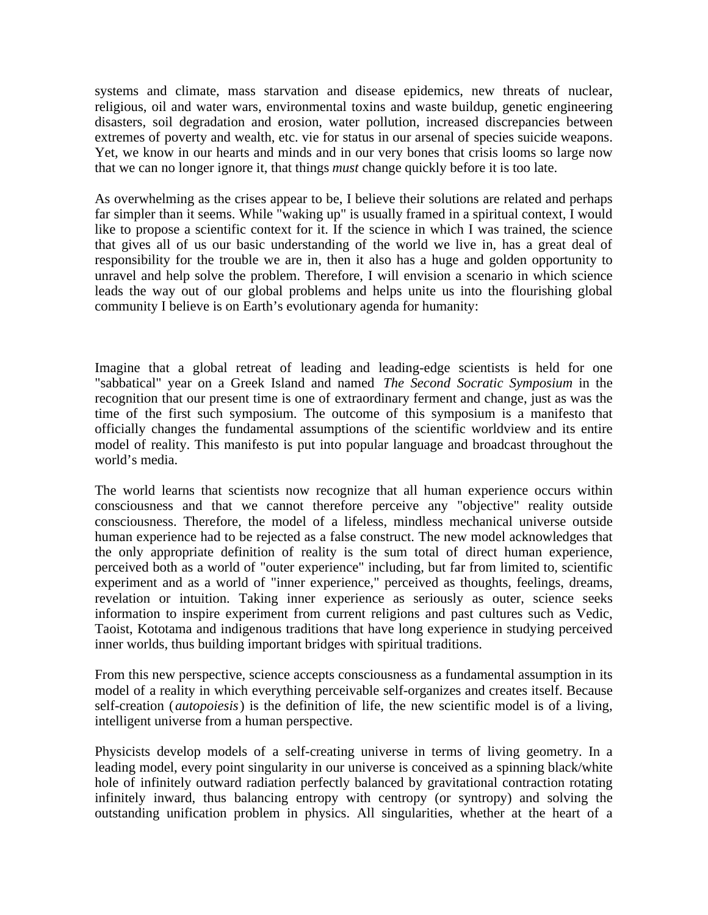systems and climate, mass starvation and disease epidemics, new threats of nuclear, religious, oil and water wars, environmental toxins and waste buildup, genetic engineering disasters, soil degradation and erosion, water pollution, increased discrepancies between extremes of poverty and wealth, etc. vie for status in our arsenal of species suicide weapons. Yet, we know in our hearts and minds and in our very bones that crisis looms so large now that we can no longer ignore it, that things *must* change quickly before it is too late.

As overwhelming as the crises appear to be, I believe their solutions are related and perhaps far simpler than it seems. While "waking up" is usually framed in a spiritual context, I would like to propose a scientific context for it. If the science in which I was trained, the science that gives all of us our basic understanding of the world we live in, has a great deal of responsibility for the trouble we are in, then it also has a huge and golden opportunity to unravel and help solve the problem. Therefore, I will envision a scenario in which science leads the way out of our global problems and helps unite us into the flourishing global community I believe is on Earth's evolutionary agenda for humanity:

Imagine that a global retreat of leading and leading-edge scientists is held for one "sabbatical" year on a Greek Island and named *The Second Socratic Symposium* in the recognition that our present time is one of extraordinary ferment and change, just as was the time of the first such symposium. The outcome of this symposium is a manifesto that officially changes the fundamental assumptions of the scientific worldview and its entire model of reality. This manifesto is put into popular language and broadcast throughout the world's media.

The world learns that scientists now recognize that all human experience occurs within consciousness and that we cannot therefore perceive any "objective" reality outside consciousness. Therefore, the model of a lifeless, mindless mechanical universe outside human experience had to be rejected as a false construct. The new model acknowledges that the only appropriate definition of reality is the sum total of direct human experience, perceived both as a world of "outer experience" including, but far from limited to, scientific experiment and as a world of "inner experience," perceived as thoughts, feelings, dreams, revelation or intuition. Taking inner experience as seriously as outer, science seeks information to inspire experiment from current religions and past cultures such as Vedic, Taoist, Kototama and indigenous traditions that have long experience in studying perceived inner worlds, thus building important bridges with spiritual traditions.

From this new perspective, science accepts consciousness as a fundamental assumption in its model of a reality in which everything perceivable self-organizes and creates itself. Because self-creation (*autopoiesis*) is the definition of life, the new scientific model is of a living, intelligent universe from a human perspective.

Physicists develop models of a self-creating universe in terms of living geometry. In a leading model, every point singularity in our universe is conceived as a spinning black/white hole of infinitely outward radiation perfectly balanced by gravitational contraction rotating infinitely inward, thus balancing entropy with centropy (or syntropy) and solving the outstanding unification problem in physics. All singularities, whether at the heart of a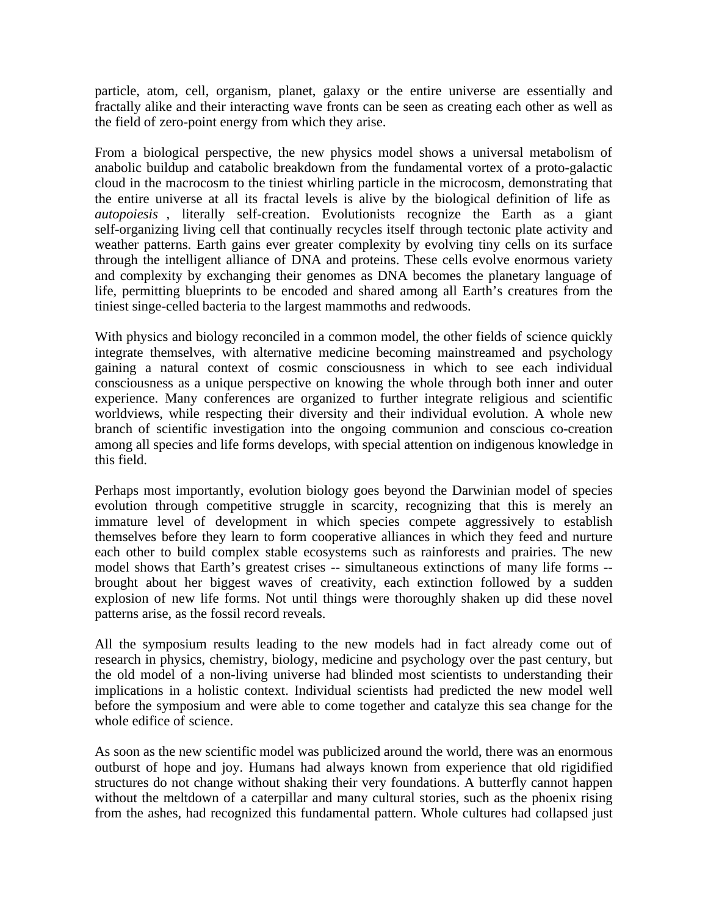particle, atom, cell, organism, planet, galaxy or the entire universe are essentially and fractally alike and their interacting wave fronts can be seen as creating each other as well as the field of zero-point energy from which they arise.

From a biological perspective, the new physics model shows a universal metabolism of anabolic buildup and catabolic breakdown from the fundamental vortex of a proto-galactic cloud in the macrocosm to the tiniest whirling particle in the microcosm, demonstrating that the entire universe at all its fractal levels is alive by the biological definition of life as *autopoiesis* , literally self-creation. Evolutionists recognize the Earth as a giant self-organizing living cell that continually recycles itself through tectonic plate activity and weather patterns. Earth gains ever greater complexity by evolving tiny cells on its surface through the intelligent alliance of DNA and proteins. These cells evolve enormous variety and complexity by exchanging their genomes as DNA becomes the planetary language of life, permitting blueprints to be encoded and shared among all Earth's creatures from the tiniest singe-celled bacteria to the largest mammoths and redwoods.

With physics and biology reconciled in a common model, the other fields of science quickly integrate themselves, with alternative medicine becoming mainstreamed and psychology gaining a natural context of cosmic consciousness in which to see each individual consciousness as a unique perspective on knowing the whole through both inner and outer experience. Many conferences are organized to further integrate religious and scientific worldviews, while respecting their diversity and their individual evolution. A whole new branch of scientific investigation into the ongoing communion and conscious co-creation among all species and life forms develops, with special attention on indigenous knowledge in this field.

Perhaps most importantly, evolution biology goes beyond the Darwinian model of species evolution through competitive struggle in scarcity, recognizing that this is merely an immature level of development in which species compete aggressively to establish themselves before they learn to form cooperative alliances in which they feed and nurture each other to build complex stable ecosystems such as rainforests and prairies. The new model shows that Earth's greatest crises -- simultaneous extinctions of many life forms - brought about her biggest waves of creativity, each extinction followed by a sudden explosion of new life forms. Not until things were thoroughly shaken up did these novel patterns arise, as the fossil record reveals.

All the symposium results leading to the new models had in fact already come out of research in physics, chemistry, biology, medicine and psychology over the past century, but the old model of a non-living universe had blinded most scientists to understanding their implications in a holistic context. Individual scientists had predicted the new model well before the symposium and were able to come together and catalyze this sea change for the whole edifice of science.

As soon as the new scientific model was publicized around the world, there was an enormous outburst of hope and joy. Humans had always known from experience that old rigidified structures do not change without shaking their very foundations. A butterfly cannot happen without the meltdown of a caterpillar and many cultural stories, such as the phoenix rising from the ashes, had recognized this fundamental pattern. Whole cultures had collapsed just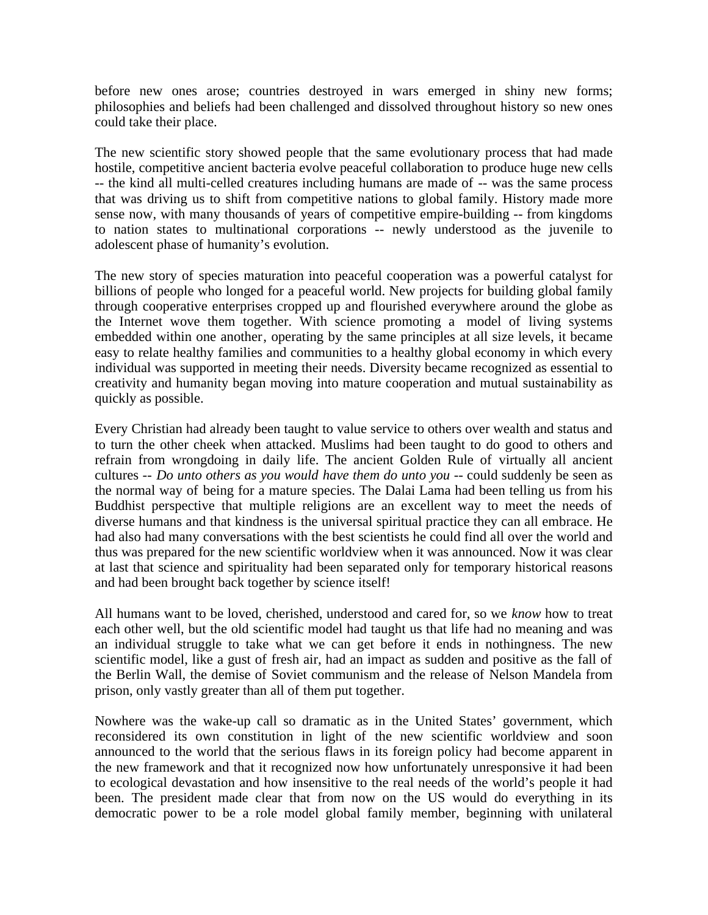before new ones arose; countries destroyed in wars emerged in shiny new forms; philosophies and beliefs had been challenged and dissolved throughout history so new ones could take their place.

The new scientific story showed people that the same evolutionary process that had made hostile, competitive ancient bacteria evolve peaceful collaboration to produce huge new cells -- the kind all multi-celled creatures including humans are made of -- was the same process that was driving us to shift from competitive nations to global family. History made more sense now, with many thousands of years of competitive empire-building -- from kingdoms to nation states to multinational corporations -- newly understood as the juvenile to adolescent phase of humanity's evolution.

The new story of species maturation into peaceful cooperation was a powerful catalyst for billions of people who longed for a peaceful world. New projects for building global family through cooperative enterprises cropped up and flourished everywhere around the globe as the Internet wove them together. With science promoting a model of living systems embedded within one another, operating by the same principles at all size levels, it became easy to relate healthy families and communities to a healthy global economy in which every individual was supported in meeting their needs. Diversity became recognized as essential to creativity and humanity began moving into mature cooperation and mutual sustainability as quickly as possible.

Every Christian had already been taught to value service to others over wealth and status and to turn the other cheek when attacked. Muslims had been taught to do good to others and refrain from wrongdoing in daily life. The ancient Golden Rule of virtually all ancient cultures -- *Do unto others as you would have them do unto you* -- could suddenly be seen as the normal way of being for a mature species. The Dalai Lama had been telling us from his Buddhist perspective that multiple religions are an excellent way to meet the needs of diverse humans and that kindness is the universal spiritual practice they can all embrace. He had also had many conversations with the best scientists he could find all over the world and thus was prepared for the new scientific worldview when it was announced. Now it was clear at last that science and spirituality had been separated only for temporary historical reasons and had been brought back together by science itself!

All humans want to be loved, cherished, understood and cared for, so we *know* how to treat each other well, but the old scientific model had taught us that life had no meaning and was an individual struggle to take what we can get before it ends in nothingness. The new scientific model, like a gust of fresh air, had an impact as sudden and positive as the fall of the Berlin Wall, the demise of Soviet communism and the release of Nelson Mandela from prison, only vastly greater than all of them put together.

Nowhere was the wake-up call so dramatic as in the United States' government, which reconsidered its own constitution in light of the new scientific worldview and soon announced to the world that the serious flaws in its foreign policy had become apparent in the new framework and that it recognized now how unfortunately unresponsive it had been to ecological devastation and how insensitive to the real needs of the world's people it had been. The president made clear that from now on the US would do everything in its democratic power to be a role model global family member, beginning with unilateral